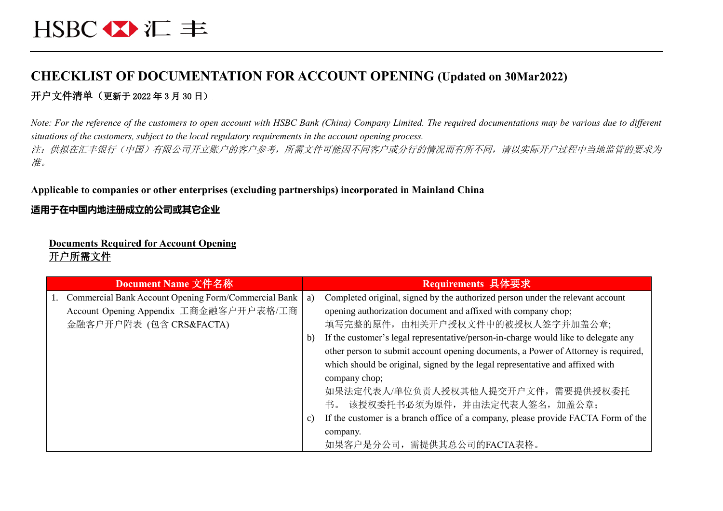## **CHECKLIST OF DOCUMENTATION FOR ACCOUNT OPENING (Updated on 30Mar2022)** 开户文件清单(更新于 2022 年 3 月 30 日)

*Note: For the reference of the customers to open account with HSBC Bank (China) Company Limited. The required documentations may be various due to different situations of the customers, subject to the local regulatory requirements in the account opening process.* 注:供拟在汇丰银行(中国)有限公司开立账户的客户参考,所需文件可能因不同客户或分行的情况而有所不同,请以实际开户过程中当地监管的要求为 准。

#### **Applicable to companies or other enterprises (excluding partnerships) incorporated in Mainland China**

#### **适用于在中国内地注册成立的公司或其它企业**

#### **Documents Required for Account Opening** 开户所需文件

| Document Name 文件名称                                         |                 | Requirements 具体要求                                                                  |
|------------------------------------------------------------|-----------------|------------------------------------------------------------------------------------|
| Commercial Bank Account Opening Form/Commercial Bank<br>1. | a)              | Completed original, signed by the authorized person under the relevant account     |
| Account Opening Appendix 工商金融客户开户表格/工商                     |                 | opening authorization document and affixed with company chop;                      |
| 金融客户开户附表 (包含 CRS&FACTA)                                    |                 | 填写完整的原件, 由相关开户授权文件中的被授权人签字并加盖公章;                                                   |
|                                                            | b)              | If the customer's legal representative/person-in-charge would like to delegate any |
|                                                            |                 | other person to submit account opening documents, a Power of Attorney is required, |
|                                                            |                 | which should be original, signed by the legal representative and affixed with      |
|                                                            |                 | company chop;                                                                      |
|                                                            |                 | 如果法定代表人/单位负责人授权其他人提交开户文件,需要提供授权委托                                                  |
|                                                            |                 | 书。 该授权委托书必须为原件, 并由法定代表人签名, 加盖公章;                                                   |
|                                                            | $\mathcal{C}$ ) | If the customer is a branch office of a company, please provide FACTA Form of the  |
|                                                            |                 | company.                                                                           |
|                                                            |                 | 如果客户是分公司,需提供其总公司的FACTA表格。                                                          |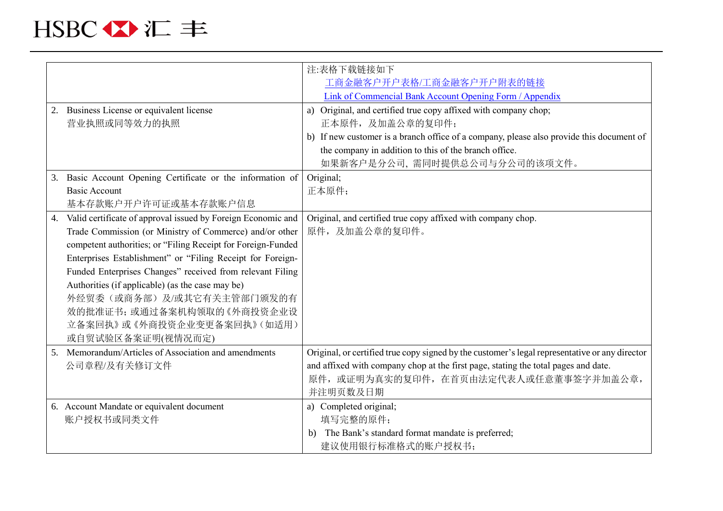|    |                                                              | 注:表格下载链接如下                                                                                     |
|----|--------------------------------------------------------------|------------------------------------------------------------------------------------------------|
|    |                                                              | 工商金融客户开户表格/工商金融客户开户附表的链接                                                                       |
|    |                                                              | Link of Commencial Bank Account Opening Form / Appendix                                        |
|    | 2. Business License or equivalent license                    | a) Original, and certified true copy affixed with company chop;                                |
|    | 营业执照或同等效力的执照                                                 | 正本原件,及加盖公章的复印件;                                                                                |
|    |                                                              | b) If new customer is a branch office of a company, please also provide this document of       |
|    |                                                              | the company in addition to this of the branch office.                                          |
|    |                                                              | 如果新客户是分公司,需同时提供总公司与分公司的该项文件。                                                                   |
| 3. | Basic Account Opening Certificate or the information of      | Original;                                                                                      |
|    | <b>Basic Account</b>                                         | 正本原件;                                                                                          |
|    | 基本存款账户开户许可证或基本存款账户信息                                         |                                                                                                |
| 4. | Valid certificate of approval issued by Foreign Economic and | Original, and certified true copy affixed with company chop.                                   |
|    | Trade Commission (or Ministry of Commerce) and/or other      | 原件,及加盖公章的复印件。                                                                                  |
|    | competent authorities; or "Filing Receipt for Foreign-Funded |                                                                                                |
|    | Enterprises Establishment" or "Filing Receipt for Foreign-   |                                                                                                |
|    | Funded Enterprises Changes" received from relevant Filing    |                                                                                                |
|    | Authorities (if applicable) (as the case may be)             |                                                                                                |
|    | 外经贸委(或商务部)及/或其它有关主管部门颁发的有                                    |                                                                                                |
|    | 效的批准证书; 或通过备案机构领取的《外商投资企业设                                   |                                                                                                |
|    | 立备案回执》或《外商投资企业变更备案回执》(如适用)                                   |                                                                                                |
|    | 或自贸试验区备案证明(视情况而定)                                            |                                                                                                |
| 5. | Memorandum/Articles of Association and amendments            | Original, or certified true copy signed by the customer's legal representative or any director |
|    | 公司章程/及有关修订文件                                                 | and affixed with company chop at the first page, stating the total pages and date.             |
|    |                                                              | 原件, 或证明为真实的复印件, 在首页由法定代表人或任意董事签字并加盖公章,                                                         |
|    |                                                              | 并注明页数及日期                                                                                       |
|    | 6. Account Mandate or equivalent document                    | a) Completed original;                                                                         |
|    | 账户授权书或同类文件                                                   | 填写完整的原件;                                                                                       |
|    |                                                              | The Bank's standard format mandate is preferred;<br>b)                                         |
|    |                                                              | 建议使用银行标准格式的账户授权书;                                                                              |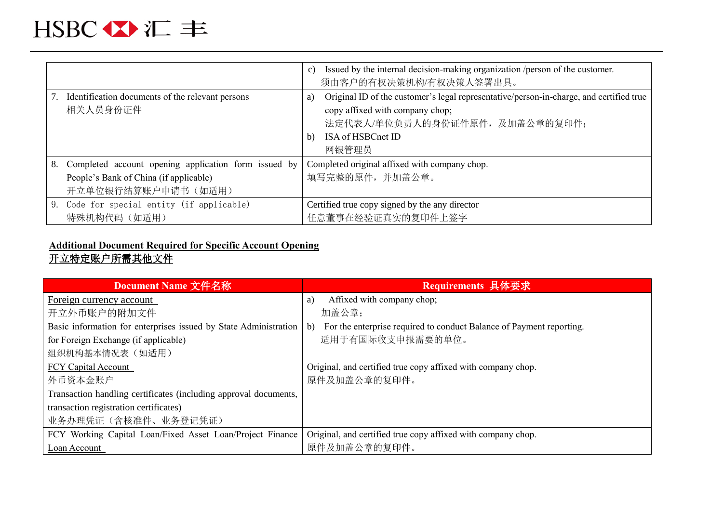# HSBC 公汇丰

|    |                                                              | C)       | Issued by the internal decision-making organization / person of the customer.<br>须由客户的有权决策机构/有权决策人签署出具。                                                                                    |
|----|--------------------------------------------------------------|----------|--------------------------------------------------------------------------------------------------------------------------------------------------------------------------------------------|
|    | Identification documents of the relevant persons<br>相关人员身份证件 | a)<br>b) | Original ID of the customer's legal representative/person-in-charge, and certified true<br>copy affixed with company chop;<br>法定代表人/单位负责人的身份证件原件, 及加盖公章的复印件;<br>ISA of HSBCnet ID<br>网银管理员 |
| 8. | Completed account opening application form issued by         |          | Completed original affixed with company chop.                                                                                                                                              |
|    | People's Bank of China (if applicable)                       |          | 填写完整的原件,并加盖公章。                                                                                                                                                                             |
|    | 开立单位银行结算账户申请书(如适用)                                           |          |                                                                                                                                                                                            |
|    | 9. Code for special entity (if applicable)                   |          | Certified true copy signed by the any director                                                                                                                                             |
|    | 特殊机构代码 (如适用)                                                 |          | 任意董事在经验证真实的复印件上签字                                                                                                                                                                          |

### **Additional Document Required for Specific Account Opening** 开立特定账户所需其他文件

| Document Name 文件名称                                               | Requirements 具体要求                                                                    |
|------------------------------------------------------------------|--------------------------------------------------------------------------------------|
| Foreign currency account                                         | Affixed with company chop;<br>a)                                                     |
| 开立外币账户的附加文件                                                      | 加盖公章;                                                                                |
| Basic information for enterprises issued by State Administration | For the enterprise required to conduct Balance of Payment reporting.<br>$\mathbf{b}$ |
| for Foreign Exchange (if applicable)                             | 适用于有国际收支申报需要的单位。                                                                     |
| 组织机构基本情况表 (如适用)                                                  |                                                                                      |
| <b>FCY Capital Account</b>                                       | Original, and certified true copy affixed with company chop.                         |
| 外币资本金账户                                                          | 原件及加盖公章的复印件。                                                                         |
| Transaction handling certificates (including approval documents, |                                                                                      |
| transaction registration certificates)                           |                                                                                      |
| 业务办理凭证(含核准件、业务登记凭证)                                              |                                                                                      |
| FCY Working Capital Loan/Fixed Asset Loan/Project Finance        | Original, and certified true copy affixed with company chop.                         |
| Loan Account                                                     | 原件及加盖公章的复印件。                                                                         |